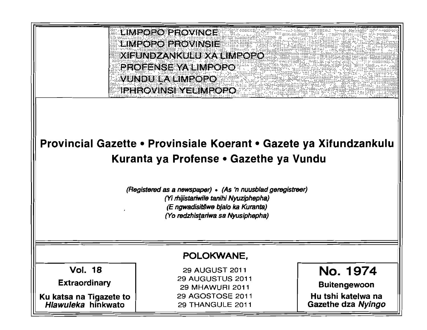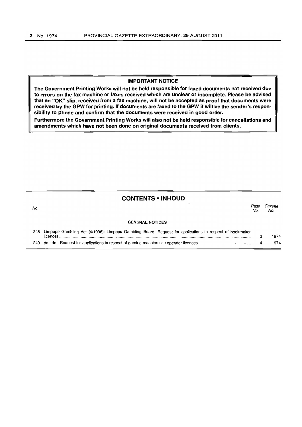## IMPORTANT NOTICE

The Government Printing Works will not be held responsible for faxed documents not received due to errors on the fax machine or faxes received which are unclear or incomplete. Please be advised that an "OK" slip, received from a fax machine, will not be accepted as proof that documents were received by the GPW for printing. If documents are faxed to the GPW it will be the sender's responsibility to phone and confirm that the documents were received in good order.

Furthermore the Government Printing Works will also not be held responsible for cancellations and amendments which have not been done on original documents received from clients.

## CONTENTS • INHOUD

No. Page Gazette No. No.

#### GENERAL NOTICES

| 248 Limpopo Gambling Act (4/1996): Limpopo Gambling Board: Request for applications in respect of bookmaker |      |
|-------------------------------------------------------------------------------------------------------------|------|
|                                                                                                             | 1974 |
|                                                                                                             | 1974 |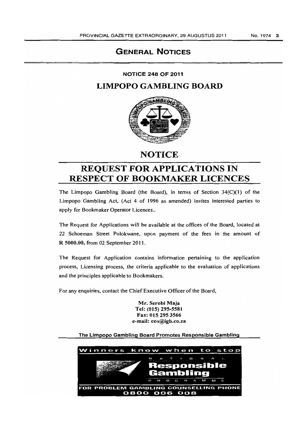## GENERAL NOTICES

NOTICE 248 OF 2011

LIMPOPO GAMBLING BOARD



# **NOTICE**

# REQUEST FOR APPLICATIONS IN RESPECT OF BOOKMAKER LICENCES

The Limpopo Gambling Board (the Board), in terms of Section  $34(C)(1)$  of the Limpopo Gambling Act, (Act 4 of 1996 as amended) invites interested parties to apply for Bookmaker Operator Licences..

The Request for Applications will be available at the offices of the Board, located at 22 Schoeman Street Polokwane, upon payment of the fees in the amount of R 5000.00, from 02 September 2011.

The Request for Application contains information pertaining to the application process, Licensing process, the criteria applicable to the evaluation of applications and the principles applicable to Bookmakers.

For any enquiries, contact the Chief Executive Officer of the Board,

Mr. Serobi Maja Tel: (015) 295-5581 Fax: 015 2953566 e-mail: ceo@lgb.co.za

## The Limpopo Gambling Board Promotes Responsible Gambling